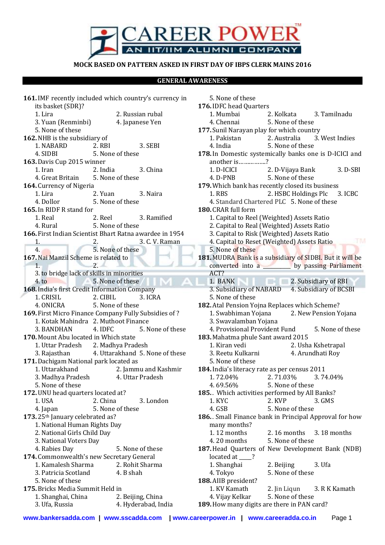

## **MOCK BASED ON PATTERN ASKED IN FIRST DAY OF IBPS CLERK MAINS 2016**

## **GENERAL AWARENESS**

**161.**IMF recently included which country's currency in its basket (SDR)? 1. Lira 2. Russian rubal 3. Yuan (Renminbi) 4. Japanese Yen 5. None of these **162.**NHB is the subsidiary of 1. NABARD 2. RBI 3. SEBI 4. SIDBI 5. None of these **163.**Davis Cup 2015 winner 1. Iran 2. India 3. China 4. Great Britain 5. None of these **164.**Currency of Nigeria 1. Lira 2. Yuan 3. Naira 4. Dollor 5. None of these **165.**In RIDF R stand for 1. Real 2. Reel 3. Ramified 4. Rural 5. None of these **166.**First Indian Scientist Bhart Ratna awardee in 1954 1. 2. 3. C. V. Raman 4. 5. None of these **167.**Nai Manzil Scheme is related to 1. 2. 3. to bridge lack of skills in minorities 4. to 5. None of these **168.**India's first Credit Information Company 1. CRISIL 2. CIBIL 3. ICRA 4. ONICRA 5. None of these **169.**First Micro Finance Company Fully Subsidies of ? 1. Kotak Mahindra 2. Muthoot Finance 3. BANDHAN 4. IDFC 5. None of these **170.**Mount Abu located in Which state 1. Uttar Pradesh 2. Madhya Pradesh 3. Rajasthan 4. Uttarakhand 5. None of these **171.**Dachigam National park located as 1. Uttarakhand 2. Jammu and Kashmir 3. Madhya Pradesh 4. Uttar Pradesh 5. None of these **172.**UNU head quarters located at? 1. USA 2. China 3. London 4. Japan 5. None of these **173.**25th January celebrated as? 1. National Human Rights Day 2. National Girls Child Day 3. National Voters Day 4. Rabies Day 5. None of these **174.**Commonwealth's new Secretary General 1. Kamalesh Sharma 2. Rohit Sharma 3. Patricia Scotland 4. B shah 5. None of these **175.**Bricks Media Summit Held in 1. Shanghai, China 2. Beijing, China 3. Ufa, Russia 4. Hyderabad, India

5. None of these **176.**IDFC head Quarters 1. Mumbai 2. Kolkata 3. Tamilnadu 4. Chennai 5. None of these **177.** Sunil Narayan play for which country 1. Pakistan 2. Australia 3. West Indies 4. India 5. None of these **178.**In Domestic systemically banks one is D-ICICI and another is…………….? 1. D-ICICI 2. D-Vijaya Bank 3. D-SBI 4. D-PNB 5. None of these **179.**Which bank has recently closed its business 1. RBS 2. HSBC Holdings Plc 3. ICBC 4. Standard Chartered PLC 5. None of these **180.**CRAR full form 1. Capital to Reel (Weighted) Assets Ratio 2. Capital to Real (Weighted) Assets Ratio 3. Capital to Risk (Weighted) Assets Ratio 4. Capital to Reset (Weighted) Assets Ratio 5. None of these **181.**MUDRA Bank is a subsidiary of SIDBI. But it will be converted into a \_\_\_\_\_\_\_\_\_\_\_ by passing Parliament ACT? 1. BANK 2. Subsidiary of RBI 3. Subsidiary of NABARD 4. Subsidiary of BCSBI 5. None of these **182.**Atal Pension Yojna Replaces which Scheme? 1. Swabhiman Yojana 2. New Pension Yojana 3. Swavalamban Yojana 4. Provisional Provident Fund 5. None of these **183.**Mahatma phule Sant award 2015 1. Kiran vedi 2. Usha Kshetrapal 3. Reetu Kulkarni 4. Arundhati Roy 5. None of these **184.**India's literacy rate as per census 2011 1. 72.04% 2. 71.03% 3. 74.04% 4. 69.56% 5. None of these 185. Which activities performed by All Banks? 1. KYC 2. KVP 3. GMS 4. GSB 5. None of these **186.** . Small Finance bank in Principal Approval for how many months? 1. 12 months 2. 16 months 3. 18 months 4. 20 months 5. None of these **187.**Head Quarters of New Development Bank (NDB) located at \_\_\_\_\_? 1. Shanghai 2. Beijing 3. Ufa 4. Tokyo 5. None of these **188.**AIIB president? 1. KV Kamath 2. Jin Liqun 3. R K Kamath 4. Vijay Kelkar 5. None of these

**189.**How many digits are there in PAN card?